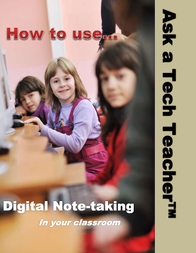# How to usem

**Lesson Plan: Digital Note-taking**

# Digital Note-taking

In your classroom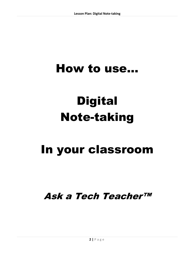## How to use…

# **Digital** Note-taking

### In your classroom

Ask a Tech Teacher™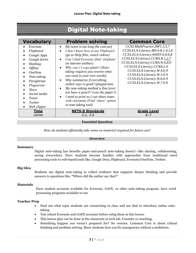### Digital Note-taking

| <b>Vocabulary</b>                                                                                                                                                                                                               | <b>Problem solving</b>                                                                                                                                                                                                                                                                                                                                                                                                                                                                                                                                                    | <b>Common Core</b>                                                                                                                                                                                                                                                                                                      |
|---------------------------------------------------------------------------------------------------------------------------------------------------------------------------------------------------------------------------------|---------------------------------------------------------------------------------------------------------------------------------------------------------------------------------------------------------------------------------------------------------------------------------------------------------------------------------------------------------------------------------------------------------------------------------------------------------------------------------------------------------------------------------------------------------------------------|-------------------------------------------------------------------------------------------------------------------------------------------------------------------------------------------------------------------------------------------------------------------------------------------------------------------------|
| Evernote<br>Flipboard<br>Google Apps<br>Google forms<br>Hashtag<br><i><b>Offline</b></i><br><i><b>OneNote</b></i><br>Note-taking<br>Paraphrase<br>Plagiarism<br><b>Share</b><br>Social media<br>Tweet<br>Twitter<br>Web clipper | My tweet is too long (be concise)<br>$\bullet$<br>I don't know how to use Flipboard<br>$\bullet$<br>(go to Help files, watch videos)<br>Can't find Evernote (find 'elephant'<br>on internet toolbar)<br>Why can't I copy-paste? (Note-<br>taking requires you rewrite what<br>you read in your own words)<br>Why summarize if everything<br><i>author says is good? (plagiarism)</i><br>My note-taking method is fine (ever<br>not have a pencil? Lose the paper?)<br>I need to print so I can share notes<br>with classmate (Find 'share' option<br>in note-taking tool) | CCSS.MathPractice.MP1,3,5,7<br>CCSS.ELA-Literacy.RH.6-8.1-4,5,6<br>CCSS.ELA-Literacy.WHST.6-8.6,8<br>CCSS.ELA-Literacy.CCRA.R.1,2,7<br>CCSS.ELA-Literacy.CCRA.W.6,8,9<br>CCSS.ELA-Literacy.CCRA.L.6<br>CCSS.ELA-Literacy.W.4.6-9<br>CCSS.ELA-Literacy.W.5.6-9<br>CCSS.ELA-Literacy.W.6.6-9<br>CCSS.ELA-Literacy.W.7.6-9 |
| Time<br>varies                                                                                                                                                                                                                  | <b>NETS-S Standards</b><br>2.c, 3.b                                                                                                                                                                                                                                                                                                                                                                                                                                                                                                                                       | <b>Grade Level</b><br>$4 - 7$                                                                                                                                                                                                                                                                                           |

#### **Essential Question**

*How do students efficiently take notes on material required for future use?*

#### **Overview**

#### **Summary**

Digital note-taking has benefits paper-and-pencil note-taking doesn't—like sharing, collaborating, saving everywhere. Have students become familiar with approaches from traditional word processing tools to web-based tools like, Google Docs, Flipboard, Evernote/OneNote, Twitter.

#### **Big Idea**

Students use digital note-taking to collect evidence that supports deeper thinking and provide answers to questions like, **"**Where did the author say that?"

#### **Materials**

Have student accounts available for Evernote, GAFE, or other note-taking program; have word processing programs available to use

#### **Teacher Prep**

- Find out what topic students are researching in class and use that to introduce online notetaking.
- Test school Evernote and GAFE accounts before using them in this lesson.
- This lesson plan can be done in the classroom or tech lab. Consider co-teaching.
- Something happen you weren't prepared for? No worries. Common Core is about critical thinking and problem solving. Show students how you fix emergencies without a meltdown.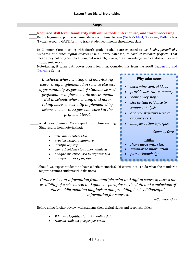#### **Steps**

- \_\_\_\_**Required skill level: familiarity with online tools, internet use, and word processing**
- Before beginning, put backchannel device onto Smartscreen ([Today's Meet](https://todaysmeet.com/), [Socrative,](http://socrative.com/) [Padlet,](http://padlet.com/) class Twitter account, GAFE form) to track student comments throughout class.
- \_\_\_\_In Common Core, starting with fourth grade, students are expected to *use books, periodicals, websites, and other digital sources* (like a library database) *to conduct research projects*. That means they not only can read them, but research, review, distill knowledge, and catalogue it for use in academic work.
- Note-taking, it turns out, power boosts learning. Consider this from the 2008 Leadership and [Learning Center:](http://www.leadandlearn.com/)

*In schools where writing and note-taking were rarely implemented in science classes, approximately 25 percent of students scored proficient or higher on state assessments. But in schools where writing and notetaking were consistently implemented by science teachers, 79 percent scored at the proficient level.*

What does Common Core expect from close reading (that results from note-taking):

- *determine central ideas*
- *provide accurate summary*
- *identify key steps*
- *cite text evidence to support analysis*
- *analyze structure used to organize text*
- *analyze author's purpose*

 *determine central ideas provide accurate summary identify key steps cite textual evidence to*  ٠ *support analysis analyze structure used to organize text analyze author's purpose* —*Common Core* **And…** *share ideas with class summarize information pursue knowledge*

.............

**Why take notes**

\_\_\_\_Should we expect students to have eidetic memories? Of course not. To do what the standards require assumes students will take notes—

*Gather relevant information from multiple print and digital sources; assess the credibility of each source; and quote or paraphrase the data and conclusions of others while avoiding plagiarism and providing basic bibliographic information for sources.*

*—Common Core*

Before going further, review with students their digital rights and responsibilities:

- *What are legalities for using online data*
- *How do students give proper credit*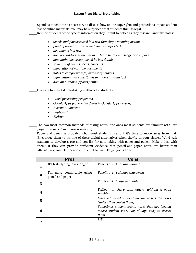\_\_\_\_Spend as much time as necessary to discuss how online copyrights and protections impact student use of online materials. You may be surprised what students think is legal.

\_\_\_\_Remind students of the type of information they'll want to notice as they research and take notes:

- *words and phrases used in a text that shape meaning or tone*
- *point of view or purpose and how it shapes text*
- *arguments in a text*
- *how text addresses themes in order to build knowledge or compare*
- *how main idea is supported by key details*
- *structure of events, ideas, concepts*
- *integration of multiple documents*
- *notes to categorize info, and list of sources*
- *information that contributes to understanding text*
- *how an author supports points*

Here are five digital note-taking methods for students:

- *Word processing programs*
- *Google Apps (covered in detail in Google Apps Lesson)*
- *Evernote/OneNote*
- *Flipboard*
- *Twitter*

The two most common methods of taking notes—the ones most students are familiar with--are *paper and pencil* and *word processing.*

Paper and pencil is probably what most students use, but it's time to move away from that. Encourage them to try one of these digital alternatives when they're in your classes. Why? Ask students to develop a pro and con list for note-taking with paper and pencil. Make a deal with them: If they can provide sufficient evidence that pencil-and-paper notes are better than alternatives, you'll let them continue in that way. I'll get you started:

|              | <b>Pros</b>                                    | Cons                                                                                                     |
|--------------|------------------------------------------------|----------------------------------------------------------------------------------------------------------|
| 1            | It's fast-typing takes longer                  | Pencils aren't always around                                                                             |
| $\mathbf{2}$ | I'm more comfortable using<br>pencil and paper | Pencils aren't always sharpened                                                                          |
| 3            |                                                | Paper isn't always available                                                                             |
|              |                                                | Difficult to share with others-without a copy<br>machine                                                 |
| 5            |                                                | Once submitted, student no longer has the notes<br>(unless they copied them)                             |
| 6            |                                                | Sometimes student wants notes that are located<br>where student isn't. Not always easy to access<br>them |
|              |                                                | ???                                                                                                      |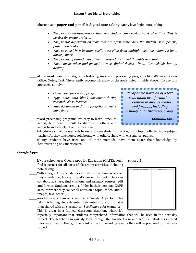\_\_\_\_Alternative to **paper-and-pencil** is **digital note-taking**. Many love digital note-taking:

- *They're collaborative—more than one student can develop notes at a time. This is perfect for group projects.*
- *They're not dependent on tools that are often somewhere the student isn't—pencils, paper, notebooks*
- *They're saved in a location easily accessible from multiple locations—home, school, library, more.*
- *They're easily shared with others interested in student thoughts on a topic.*
- *They can be taken and opened on most digital devices--iPad, Chromebook, laptop, desktop.*

٠

٠

- At the most basic level, digital note-taking uses word processing programs like MS Word, Open Office, Notes, Text. These easily accomplish many of the goals listed in table above. To use this approach, simply: ...........
	- *Open word processing program*
	- *Type notes into blank document during research, class, lectures*
	- *Save document to digital portfolio or device hard drive*
- \_\_\_\_Word processing programs are easy to learn, quick to access, but more difficult to share with others and access from a variety of online locations.
- \_\_\_\_Introduce each of the methods below and have students practice, using topic collected from subject teacher. As they take notes, collaborate with others, share with classmates, publish.
- If any students have used one of these methods, have them share their knowledge by demonstrating on Smartscreen.

#### **Google Apps**

- \_\_\_\_If your school uses Google Apps for Education (GAFE), you'll find it perfect for all sorts of classroom activities, including note-taking.
- With Google Apps, students can take notes from wherever they are—home, library, friend's house, the park. They can collaborate, share, find citations and primary sources, edit and format. Students create a folder in their personal GAFE account where they collect all notes on a topic—video, audio, images, text, other.
- Another way classrooms are using Google Apps for notetaking is having students enter their notes into a form that is then shared with all classmates. See *Figure 2* for example:

This is great in a flipped classroom situation, where it's

especially important that students comprehend information that will be used in the next-day project. The teacher can quickly look through the Google Form and see if all students entered information and if they got the point of the homework (meaning they will be prepared for the day's project).





*Paraphrase portions of a text read aloud or information presented in diverse media and formats, including visually, quantitatively, orally.*

,,,,,,,,,,,

*—Common Core*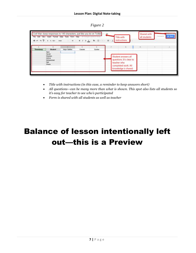| 91LI |  |
|------|--|
|      |  |

|                                                         | $-373.123 - 408$ | Civil War-keep responses to 140 characters, just like you do on Twitter<br>File Edit View insert Format Data Tools Form Help All Dunger Assault or Chief |              | $\cdot \quad \mathfrak{u} \;\; \cdot \;\; \mathfrak{g} \;\; \mathfrak{g} \;\; \mathfrak{g} \; \underline{\mathsf{A}} \; , \;\; \mathfrak{g} \; , \; \underline{\mathfrak{m}} \; , \; \ldots \;\; \underline{\mathfrak{m}} \; , \; \underline{\mathfrak{l}}$ |             | <b>Title with</b><br>instructions                                      | Shared with<br>all students | Eurinom- | <b>COLL</b> |
|---------------------------------------------------------|------------------|----------------------------------------------------------------------------------------------------------------------------------------------------------|--------------|-------------------------------------------------------------------------------------------------------------------------------------------------------------------------------------------------------------------------------------------------------------|-------------|------------------------------------------------------------------------|-----------------------------|----------|-------------|
| Timestamp                                               | Student<br>Sam   | O <sub>1</sub><br>Major Battles                                                                                                                          | D.<br>Causes | E.<br>Quotes                                                                                                                                                                                                                                                |             |                                                                        |                             |          |             |
| Xavier<br>Sheldon<br>Adima<br>Mohammed<br>Neil<br>Shara |                  |                                                                                                                                                          |              |                                                                                                                                                                                                                                                             | teacher who | Student answers all<br>questions. It's clear to<br>completed work. All |                             |          |             |
|                                                         |                  |                                                                                                                                                          |              |                                                                                                                                                                                                                                                             |             | knowledge is shared.                                                   |                             |          |             |

- *Title with instructions (in this case, a reminder to keep answers short)*
- *All questions—can be many more than what is shown. This spot also lists all students so it's easy for teacher to see who's participated*
- *Form is shared with all students as well as teacher*

### Balance of lesson intentionally left out—this is a Preview